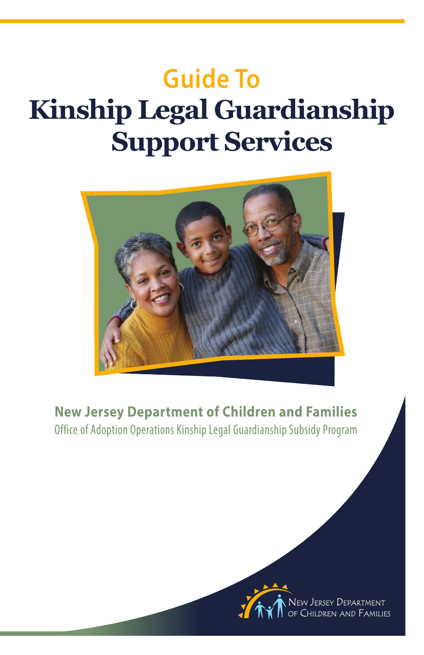# **Guide To Kinship Legal Guardianship Support Services**



**New Jersey Department of Children and Families** Office of Adoption Operations Kinship Legal Guardianship Subsidy Program

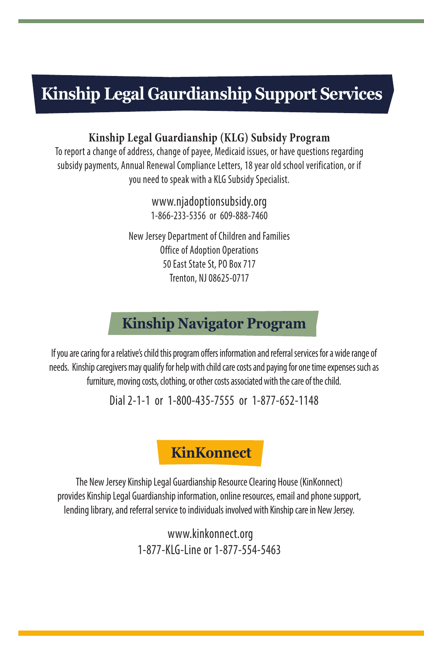## **Kinship Legal Gaurdianship Support Services**

#### **Kinship Legal Guardianship (KLG) Subsidy Program**

To report a change of address, change of payee, Medicaid issues, or have questions regarding subsidy payments, Annual Renewal Compliance Letters, 18 year old school verification, or if you need to speak with a KLG Subsidy Specialist.

> www.njadoptionsubsidy.org 1-866-233-5356 or 609-888-7460

New Jersey Department of Children and Families Office of Adoption Operations 50 East State St, PO Box 717 Trenton, NJ 08625-0717

## **Kinship Navigator Program**

If you are caring for a relative's child this program offers information and referral services for a wide range of needs. Kinship caregivers may qualify for help with child care costs and paying for one time expenses such as furniture, moving costs, clothing, or other costs associated with the care of the child.

Dial 2-1-1 or 1-800-435-7555 or 1-877-652-1148

**KinKonnect**

The New Jersey Kinship Legal Guardianship Resource Clearing House (KinKonnect) provides Kinship Legal Guardianship information, online resources, email and phone support, lending library, and referral service to individuals involved with Kinship care in New Jersey.

> www.kinkonnect.org 1-877-KLG-Line or 1-877-554-5463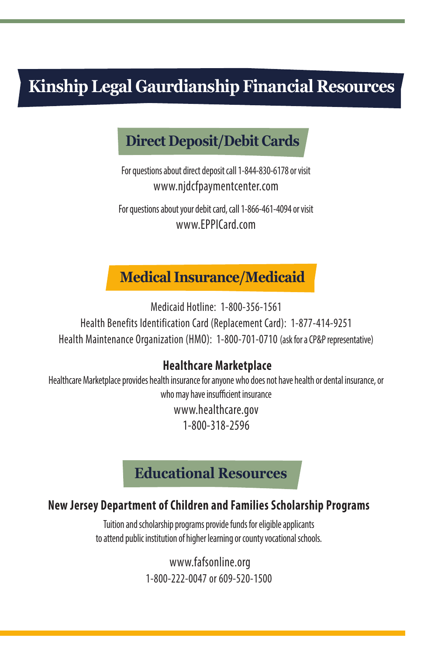## **Kinship Legal Gaurdianship Financial Resources**

## **Direct Deposit/Debit Cards**

For questions about direct deposit call 1-844-830-6178 or visit www.njdcfpaymentcenter.com

For questions about your debit card, call 1-866-461-4094 or visit www.EPPICard.com

### **Medical Insurance/Medicaid**

Medicaid Hotline: 1-800-356-1561 Health Benefits Identification Card (Replacement Card): 1-877-414-9251 Health Maintenance Organization (HMO): 1-800-701-0710 (ask for a CP&P representative)

#### **Healthcare Marketplace**

Healthcare Marketplace provides health insurance for anyone who does not have health or dental insurance, or who may have insufficient insurance www.healthcare.gov 1-800-318-2596

### **Educational Resources**

#### **New Jersey Department of Children and Families Scholarship Programs**

Tuition and scholarship programs provide funds for eligible applicants to attend public institution of higher learning or county vocational schools.

> www.fafsonline.org 1-800-222-0047 or 609-520-1500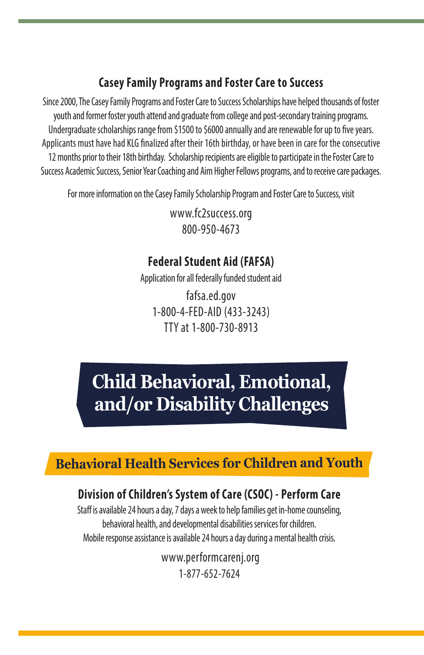#### **Casey Family Programs and Foster Care to Success**

Since 2000, The Casey Family Programs and Foster Care to Success Scholarships have helped thousands of foster youth and former foster youth attend and graduate from college and post-secondary training programs. Undergraduate scholarships range from \$1500 to \$6000 annually and are renewable for up to five years. Applicants must have had KLG finalized after their 16th birthday, or have been in care for the consecutive 12 months prior to their 18th birthday. Scholarship recipients are eligible to participate in the Foster Care to Success Academic Success, Senior Year Coaching and Aim Higher Fellows programs, and to receive care packages.

For more information on the Casey Family Scholarship Program and Foster Care to Success, visit

www.fc2success.org 800-950-4673

### **Federal Student Aid (FAFSA)**

Application for all federally funded student aid

fafsa.ed.gov 1-800-4-FED-AID (433-3243) TTY at 1-800-730-8913

## **Child Behavioral, Emotional, and/or Disability Challenges**

## **Behavioral Health Services for Children and Youth**

### **Division of Children's System of Care (CSOC) - Perform Care**

Staff is available 24 hours a day, 7 days a week to help families get in-home counseling, behavioral health, and developmental disabilities services for children. Mobile response assistance is available 24 hours a day during a mental health crisis.

> www.performcarenj.org 1-877-652-7624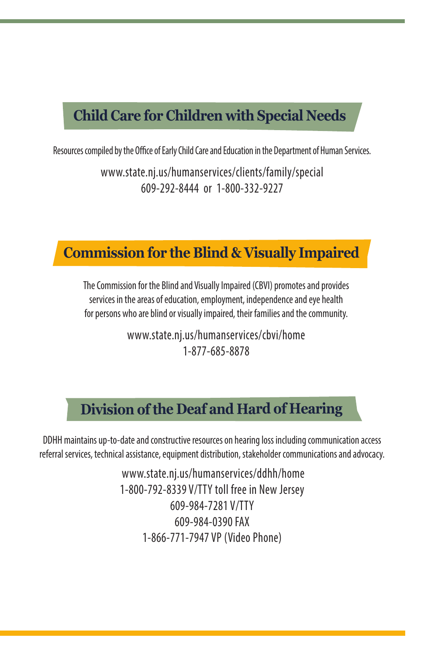## **Child Care for Children with Special Needs**

Resources compiled by the Office of Early Child Care and Education in the Department of Human Services.

www.state.nj.us/humanservices/clients/family/special 609-292-8444 or 1-800-332-9227

#### **Commission for the Blind & Visually Impaired**

The Commission for the Blind and Visually Impaired (CBVI) promotes and provides services in the areas of education, employment, independence and eye health for persons who are blind or visually impaired, their families and the community.

> www.state.nj.us/humanservices/cbvi/home 1-877-685-8878

## **Division of the Deaf and Hard of Hearing**

DDHH maintains up-to-date and constructive resources on hearing loss including communication access referral services, technical assistance, equipment distribution, stakeholder communications and advocacy.

> www.state.nj.us/humanservices/ddhh/home 1-800-792-8339 V/TTY toll free in New Jersey 609-984-7281 V/TTY 609-984-0390 FAX 1-866-771-7947 VP (Video Phone)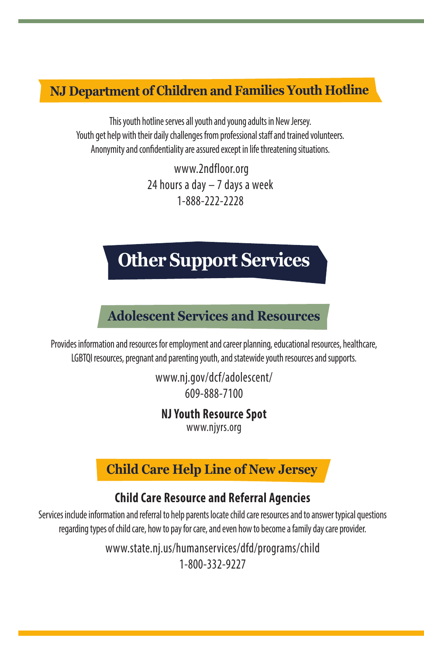#### **NJ Department of Children and Families Youth Hotline**

This youth hotline serves all youth and young adults in New Jersey. Youth get help with their daily challenges from professional staff and trained volunteers. Anonymity and confidentiality are assured except in life threatening situations.

> www.2ndfloor.org 24 hours a day – 7 days a week 1-888-222-2228

## **Other Support Services**

#### **Adolescent Services and Resources**

Provides information and resources for employment and career planning, educational resources, healthcare, LGBTQI resources, pregnant and parenting youth, and statewide youth resources and supports.

> www.nj.gov/dcf/adolescent/ 609-888-7100

#### **NJ Youth Resource Spot**

www.njyrs.org

#### **Child Care Help Line of New Jersey**

#### **Child Care Resource and Referral Agencies**

Services include information and referral to help parents locate child care resources and to answer typical questions regarding types of child care, how to pay for care, and even how to become a family day care provider.

> www.state.nj.us/humanservices/dfd/programs/child 1-800-332-9227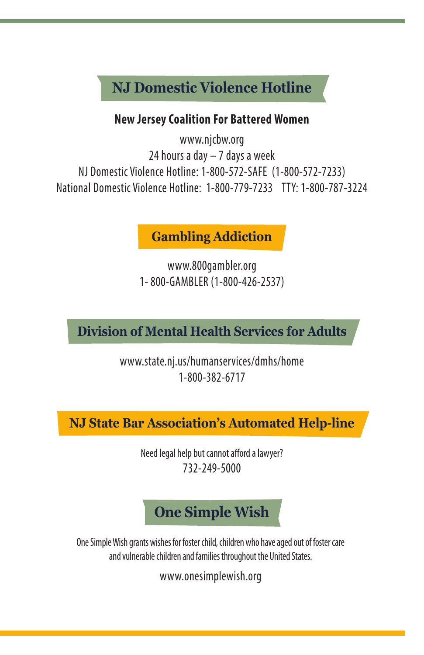## **NJ Domestic Violence Hotline**

#### **New Jersey Coalition For Battered Women**

www.njcbw.org 24 hours a day – 7 days a week NJ Domestic Violence Hotline: 1-800-572-SAFE (1-800-572-7233) National Domestic Violence Hotline: 1-800-779-7233 TTY: 1-800-787-3224

#### **Gambling Addiction**

www.800gambler.org 1- 800-GAMBLER (1-800-426-2537)

## **Division of Mental Health Services for Adults**

www.state.nj.us/humanservices/dmhs/home 1-800-382-6717

**NJ State Bar Association's Automated Help-line**

Need legal help but cannot afford a lawyer? 732-249-5000

## **One Simple Wish**

One Simple Wish grants wishes for foster child, children who have aged out of foster care and vulnerable children and families throughout the United States.

www.onesimplewish.org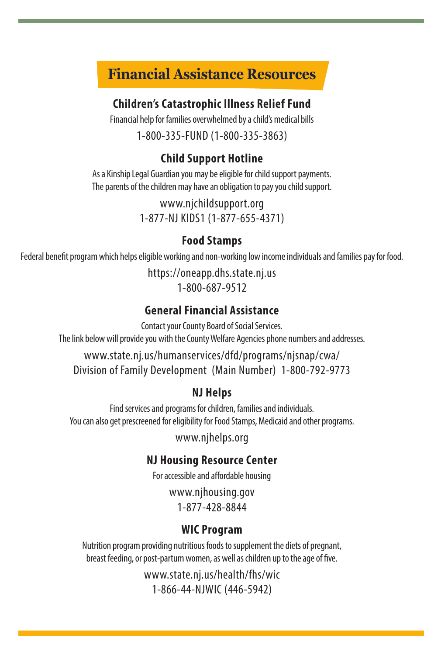## **Financial Assistance Resources**

#### **Children's Catastrophic Illness Relief Fund**

Financial help for families overwhelmed by a child's medical bills

### 1-800-335-FUND (1-800-335-3863)

#### **Child Support Hotline**

As a Kinship Legal Guardian you may be eligible for child support payments. The parents of the children may have an obligation to pay you child support.

> www.njchildsupport.org 1-877-NJ KIDS1 (1-877-655-4371)

#### **Food Stamps**

Federal benefit program which helps eligible working and non-working low income individuals and families pay for food.

https://oneapp.dhs.state.nj.us 1-800-687-9512

#### **General Financial Assistance**

Contact your County Board of Social Services. The link below will provide you with the County Welfare Agencies phone numbers and addresses.

www.state.nj.us/humanservices/dfd/programs/njsnap/cwa/ Division of Family Development (Main Number) 1-800-792-9773

#### **NJ Helps**

Find services and programs for children, families and individuals. You can also get prescreened for eligibility for Food Stamps, Medicaid and other programs.

www.njhelps.org

#### **NJ Housing Resource Center**

For accessible and affordable housing

www.njhousing.gov 1-877-428-8844

#### **WIC Program**

Nutrition program providing nutritious foods to supplement the diets of pregnant, breast feeding, or post-partum women, as well as children up to the age of five.

> www.state.nj.us/health/fhs/wic 1-866-44-NJWIC (446-5942)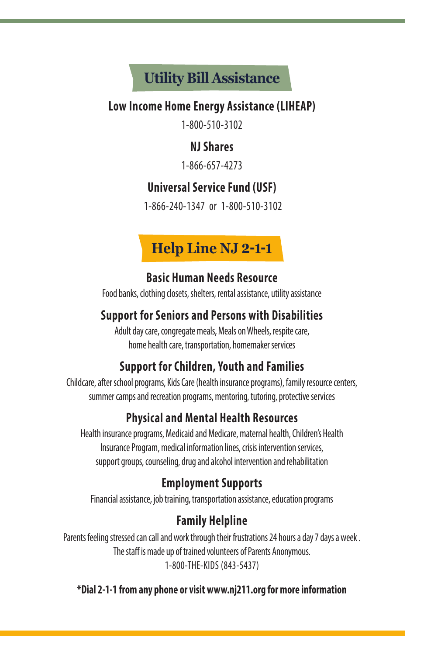## **Utility Bill Assistance**

#### **Low Income Home Energy Assistance (LIHEAP)**

1-800-510-3102

#### **NJ Shares**

1-866-657-4273

#### **Universal Service Fund (USF)**

1-866-240-1347 or 1-800-510-3102

## **Help Line NJ 2-1-1**

#### **Basic Human Needs Resource**

Food banks, clothing closets, shelters, rental assistance, utility assistance

#### **Support for Seniors and Persons with Disabilities**

Adult day care, congregate meals, Meals on Wheels, respite care, home health care, transportation, homemaker services

### **Support for Children, Youth and Families**

Childcare, after school programs, Kids Care (health insurance programs), family resource centers, summer camps and recreation programs, mentoring, tutoring, protective services

### **Physical and Mental Health Resources**

Health insurance programs, Medicaid and Medicare, maternal health, Children's Health Insurance Program, medical information lines, crisis intervention services, support groups, counseling, drug and alcohol intervention and rehabilitation

### **Employment Supports**

Financial assistance, job training, transportation assistance, education programs

## **Family Helpline**

Parents feeling stressed can call and work through their frustrations 24 hours a day 7 days a week . The staff is made up of trained volunteers of Parents Anonymous. 1-800-THE-KIDS (843-5437)

**\*Dial 2-1-1 from any phone or visit www.nj211.org for more information**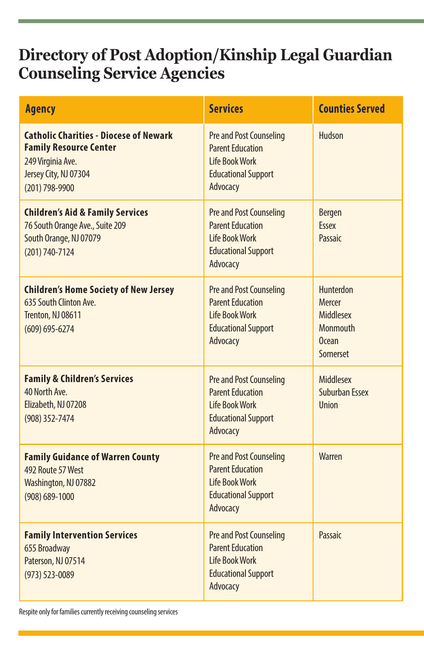## **Directory of Post Adoption/Kinship Legal Guardian Counseling Service Agencies**

| Agency                                                                                                                                         | <b>Services</b>                                                                                                              | <b>Counties Served</b>                                                          |
|------------------------------------------------------------------------------------------------------------------------------------------------|------------------------------------------------------------------------------------------------------------------------------|---------------------------------------------------------------------------------|
| <b>Catholic Charities - Diocese of Newark</b><br><b>Family Resource Center</b><br>249 Virginia Ave.<br>Jersey City, NJ 07304<br>(201) 798-9900 | Pre and Post Counseling<br><b>Parent Education</b><br><b>Life Book Work</b><br><b>Educational Support</b><br>Advocacy        | Hudson                                                                          |
| <b>Children's Aid &amp; Family Services</b><br>76 South Orange Ave., Suite 209<br>South Orange, NJ 07079<br>(201) 740-7124                     | Pre and Post Counseling<br><b>Parent Education</b><br>Life Book Work<br><b>Educational Support</b><br>Advocacy               | <b>Bergen</b><br><b>Fssex</b><br>Passaic                                        |
| <b>Children's Home Society of New Jersey</b><br>635 South Clinton Ave.<br>Trenton, NJ 08611<br>$(609) 695 - 6274$                              | Pre and Post Counseling<br><b>Parent Education</b><br>Life Book Work<br><b>Educational Support</b><br>Advocacy               | <b>Hunterdon</b><br>Mercer<br>Middlesex<br><b>Monmouth</b><br>Ocean<br>Somerset |
| <b>Family &amp; Children's Services</b><br>40 North Ave.<br>Elizabeth, NJ 07208<br>(908) 352-7474                                              | <b>Pre and Post Counseling</b><br><b>Parent Education</b><br><b>Life Book Work</b><br><b>Educational Support</b><br>Advocacy | Middlesex<br><b>Suburban Essex</b><br>Union                                     |
| <b>Family Guidance of Warren County</b><br>492 Route 57 West<br>Washington, NJ 07882<br>$(908) 689 - 1000$                                     | <b>Pre and Post Counseling</b><br><b>Parent Education</b><br><b>Life Book Work</b><br><b>Educational Support</b><br>Advocacy | Warren                                                                          |
| <b>Family Intervention Services</b><br>655 Broadway<br>Paterson, NJ 07514<br>(973) 523-0089                                                    | Pre and Post Counseling<br><b>Parent Education</b><br><b>Life Book Work</b><br><b>Educational Support</b><br>Advocacy        | Passaic                                                                         |

Respite only for families currently receiving counseling services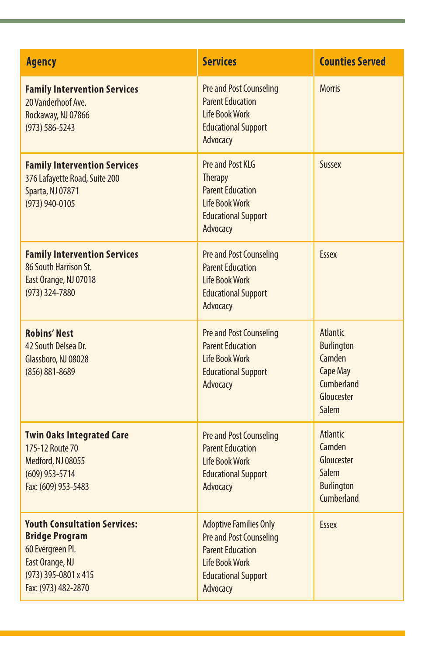| <b>Agency</b>                                                                                                                                      | <b>Services</b>                                                                                                                                        | <b>Counties Served</b>                                                                                               |
|----------------------------------------------------------------------------------------------------------------------------------------------------|--------------------------------------------------------------------------------------------------------------------------------------------------------|----------------------------------------------------------------------------------------------------------------------|
| <b>Family Intervention Services</b><br>20 Vanderhoof Ave.<br>Rockaway, NJ 07866<br>$(973) 586 - 5243$                                              | <b>Pre and Post Counseling</b><br><b>Parent Education</b><br>Life Book Work<br><b>Educational Support</b><br>Advocacy                                  | <b>Morris</b>                                                                                                        |
| <b>Family Intervention Services</b><br>376 Lafayette Road, Suite 200<br>Sparta, NJ 07871<br>(973) 940-0105                                         | Pre and Post KLG<br><b>Therapy</b><br><b>Parent Education</b><br>Life Book Work<br><b>Educational Support</b><br>Advocacy                              | <b>Sussex</b>                                                                                                        |
| <b>Family Intervention Services</b><br>86 South Harrison St.<br>East Orange, NJ 07018<br>$(973)$ 324-7880                                          | <b>Pre and Post Counseling</b><br><b>Parent Education</b><br><b>Life Book Work</b><br><b>Educational Support</b><br>Advocacy                           | <b>Fssex</b>                                                                                                         |
| <b>Robins' Nest</b><br>42 South Delsea Dr.<br>Glassboro, NJ 08028<br>(856) 881-8689                                                                | Pre and Post Counseling<br><b>Parent Education</b><br><b>Life Book Work</b><br><b>Educational Support</b><br>Advocacy                                  | <b>Atlantic</b><br><b>Burlington</b><br>Camden<br><b>Cape May</b><br><b>Cumberland</b><br>Gloucester<br><b>Salem</b> |
| <b>Twin Oaks Integrated Care</b><br>175-12 Route 70<br>Medford, NJ 08055<br>$(609)$ 953-5714<br>Fax: (609) 953-5483                                | <b>Pre and Post Counseling</b><br><b>Parent Education</b><br>Life Book Work<br><b>Educational Support</b><br>Advocacy                                  | <b>Atlantic</b><br>Camden<br>Gloucester<br>Salem<br><b>Burlington</b><br><b>Cumberland</b>                           |
| <b>Youth Consultation Services:</b><br><b>Bridge Program</b><br>60 Evergreen Pl.<br>East Orange, NJ<br>(973) 395-0801 x 415<br>Fax: (973) 482-2870 | <b>Adoptive Families Only</b><br><b>Pre and Post Counseling</b><br><b>Parent Education</b><br>Life Book Work<br><b>Educational Support</b><br>Advocacy | <b>Essex</b>                                                                                                         |